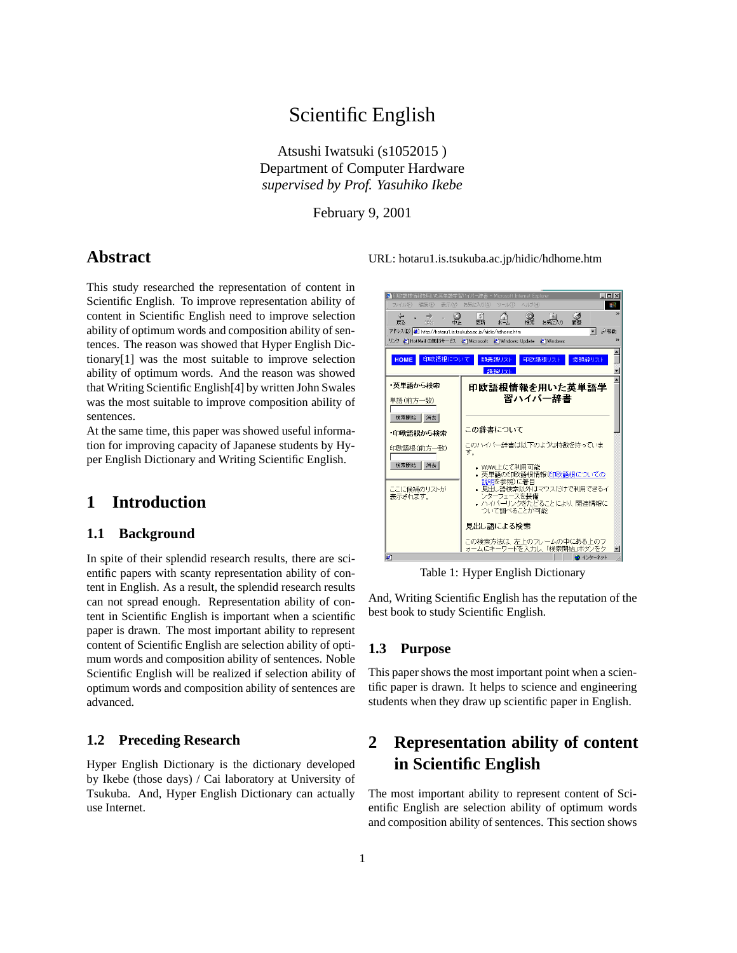# Scientific English

Atsushi Iwatsuki (s1052015 ) Department of Computer Hardware *supervised by Prof. Yasuhiko Ikebe*

February 9, 2001

## **Abstract**

This study researched the representation of content in Scientific English. To improve representation ability of content in Scientific English need to improve selection ability of optimum words and composition ability of sentences. The reason was showed that Hyper English Dictionary[1] was the most suitable to improve selection ability of optimum words. And the reason was showed that Writing Scientific English[4] by written John Swales was the most suitable to improve composition ability of sentences.

At the same time, this paper was showed useful information for improving capacity of Japanese students by Hyper English Dictionary and Writing Scientific English.

# **1 Introduction**

### **1.1 Background**

In spite of their splendid research results, there are scientific papers with scanty representation ability of content in English. As a result, the splendid research results can not spread enough. Representation ability of content in Scientific English is important when a scientific paper is drawn. The most important ability to represent content of Scientific English are selection ability of optimum words and composition ability of sentences. Noble Scientific English will be realized if selection ability of optimum words and composition ability of sentences are advanced.

## **1.2 Preceding Research**

Hyper English Dictionary is the dictionary developed by Ikebe (those days) / Cai laboratory at University of Tsukuba. And, Hyper English Dictionary can actually use Internet.

URL: hotaru1.is.tsukuba.ac.jp/hidic/hdhome.htm



Table 1: Hyper English Dictionary

And, Writing Scientific English has the reputation of the best book to study Scientific English.

### **1.3 Purpose**

This paper shows the most important point when a scientific paper is drawn. It helps to science and engineering students when they draw up scientific paper in English.

# **2 Representation ability of content in Scientific English**

The most important ability to represent content of Scientific English are selection ability of optimum words and composition ability of sentences. This section shows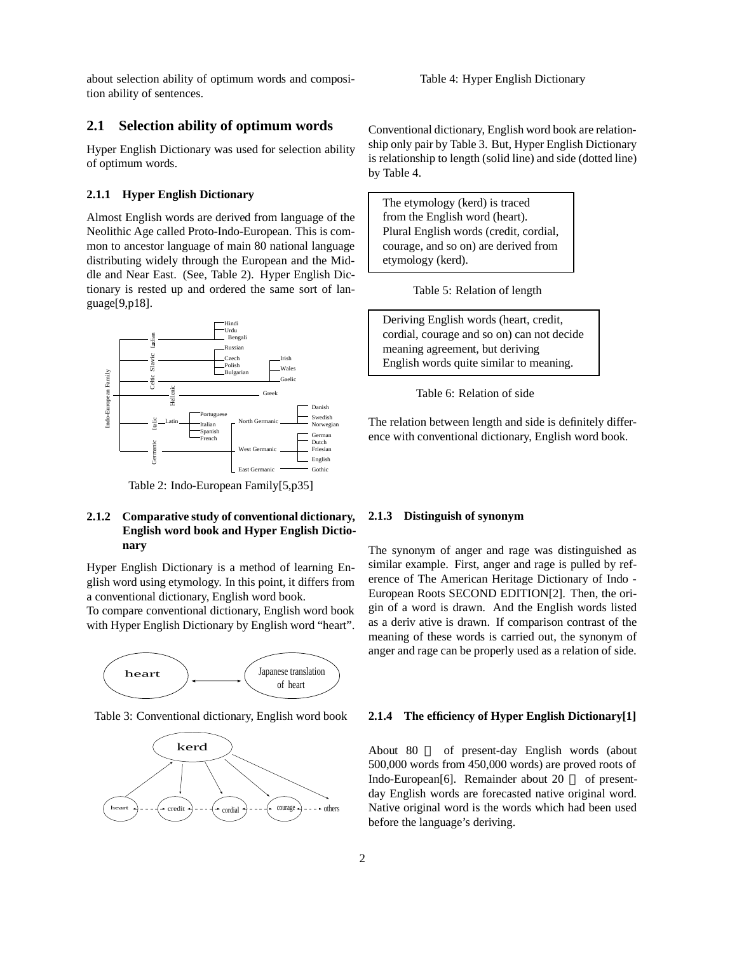about selection ability of optimum words and composition ability of sentences.

## **2.1 Selection ability of optimum words**

Hyper English Dictionary was used for selection ability of optimum words.

#### **2.1.1 Hyper English Dictionary**

Almost English words are derived from language of the Neolithic Age called Proto-Indo-European. This is common to ancestor language of main 80 national language distributing widely through the European and the Middle and Near East. (See, Table 2). Hyper English Dictionary is rested up and ordered the same sort of language[9,p18].



Table 2: Indo-European Family[5,p35]

#### **2.1.2 Comparative study of conventional dictionary, English word book and Hyper English Dictionary**

Hyper English Dictionary is a method of learning English word using etymology. In this point, it differs from a conventional dictionary, English word book.

To compare conventional dictionary, English word book with Hyper English Dictionary by English word "heart".



Table 3: Conventional dictionary, English word book



Conventional dictionary, English word book are relationship only pair by Table 3. But, Hyper English Dictionary is relationship to length (solid line) and side (dotted line) by Table 4.

The etymology (kerd) is traced from the English word (heart). Plural English words (credit, cordial, courage, and so on) are derived from etymology (kerd).

Table 5: Relation of length

Deriving English words (heart, credit, cordial, courage and so on) can not decide meaning agreement, but deriving English words quite similar to meaning.

Table 6: Relation of side

The relation between length and side is definitely difference with conventional dictionary, English word book.

#### **2.1.3 Distinguish of synonym**

The synonym of anger and rage was distinguished as similar example. First, anger and rage is pulled by reference of The American Heritage Dictionary of Indo - European Roots SECOND EDITION[2]. Then, the origin of a word is drawn. And the English words listed as a deriv ative is drawn. If comparison contrast of the meaning of these words is carried out, the synonym of anger and rage can be properly used as a relation of side.

#### **2.1.4 The efficiency of Hyper English Dictionary[1]**

About 80 of present-day English words (about 500,000 words from 450,000 words) are proved roots of Indo-European[6]. Remainder about 20 of presentday English words are forecasted native original word. Native original word is the words which had been used before the language's deriving.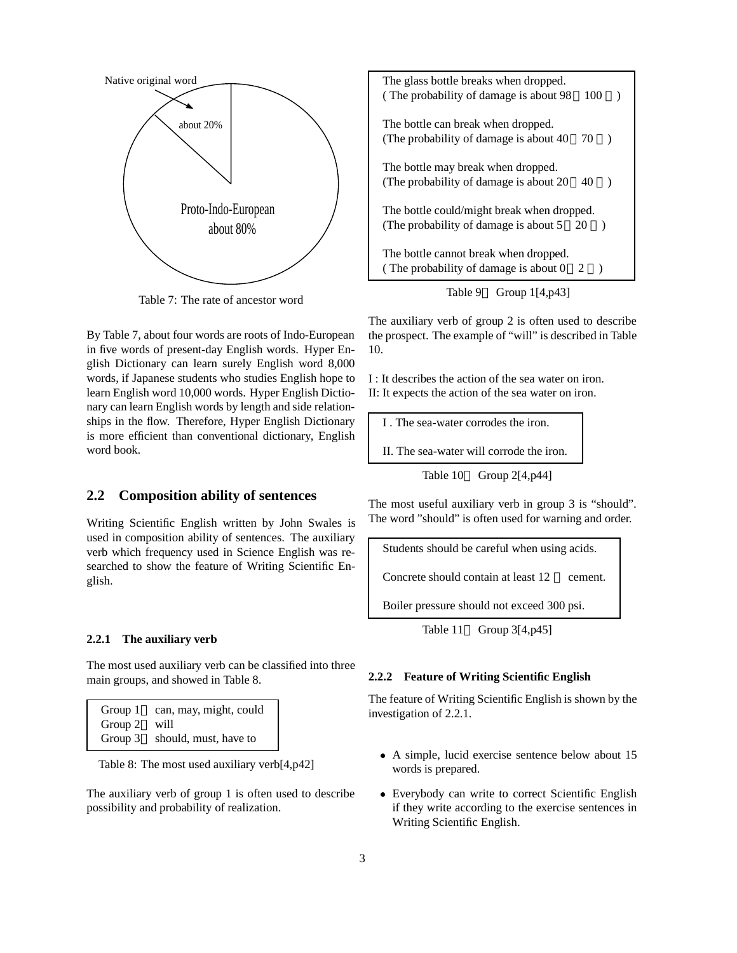

Table 7: The rate of ancestor word

By Table 7, about four words are roots of Indo-European in five words of present-day English words. Hyper English Dictionary can learn surely English word 8,000 words, if Japanese students who studies English hope to learn English word 10,000 words. Hyper English Dictionary can learn English words by length and side relationships in the flow. Therefore, Hyper English Dictionary is more efficient than conventional dictionary, English word book.

## **2.2 Composition ability of sentences**

Writing Scientific English written by John Swales is used in composition ability of sentences. The auxiliary verb which frequency used in Science English was researched to show the feature of Writing Scientific English.

#### **2.2.1 The auxiliary verb**

The most used auxiliary verb can be classified into three main groups, and showed in Table 8.

| Group 1 | can, may, might, could |
|---------|------------------------|
| Group 2 | will                   |
| Group 3 | should, must, have to  |

Table 8: The most used auxiliary verb[4,p42]

The auxiliary verb of group 1 is often used to describe possibility and probability of realization.

| The glass bottle breaks when dropped.<br>(The probability of damage is about 98)<br>100<br>$\lambda$           |  |
|----------------------------------------------------------------------------------------------------------------|--|
| The bottle can break when dropped.<br>(The probability of damage is about 40)<br>70<br>$\rightarrow$           |  |
| The bottle may break when dropped.<br>(The probability of damage is about 20)<br>40<br>$\rightarrow$           |  |
| The bottle could/might break when dropped.<br>(The probability of damage is about $5\quad 20$<br>$\rightarrow$ |  |
| The bottle cannot break when dropped.<br>(The probability of damage is about $0\quad 2$<br>$\lambda$           |  |
| Table 9<br>Group $1[4,p43]$                                                                                    |  |

The auxiliary verb of group 2 is often used to describe the prospect. The example of "will" is described in Table 10.

I : It describes the action of the sea water on iron. II: It expects the action of the sea water on iron.

I . The sea-water corrodes the iron.

II. The sea-water will corrode the iron.

Table 10 Group 2[4,p44]

The most useful auxiliary verb in group 3 is "should". The word "should" is often used for warning and order.

Students should be careful when using acids.

Concrete should contain at least 12 cement.

Boiler pressure should not exceed 300 psi.

Table 11 Group  $3[4,p45]$ 

#### **2.2.2 Feature of Writing Scientific English**

The feature of Writing Scientific English is shown by the investigation of 2.2.1.

- A simple, lucid exercise sentence below about 15 words is prepared.
- Everybody can write to correct Scientific English if they write according to the exercise sentences in Writing Scientific English.